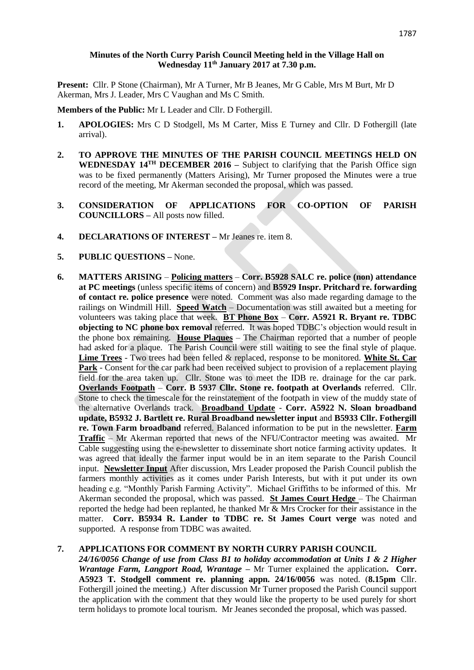### **Minutes of the North Curry Parish Council Meeting held in the Village Hall on Wednesday 11 th January 2017 at 7.30 p.m.**

**Present:** Cllr. P Stone (Chairman), Mr A Turner, Mr B Jeanes, Mr G Cable, Mrs M Burt, Mr D Akerman, Mrs J. Leader, Mrs C Vaughan and Ms C Smith.

**Members of the Public:** Mr L Leader and Cllr. D Fothergill.

- **1. APOLOGIES:** Mrs C D Stodgell, Ms M Carter, Miss E Turney and Cllr. D Fothergill (late arrival).
- **2. TO APPROVE THE MINUTES OF THE PARISH COUNCIL MEETINGS HELD ON WEDNESDAY 14TH DECEMBER 2016 –** Subject to clarifying that the Parish Office sign was to be fixed permanently (Matters Arising), Mr Turner proposed the Minutes were a true record of the meeting, Mr Akerman seconded the proposal, which was passed.
- **3. CONSIDERATION OF APPLICATIONS FOR CO-OPTION OF PARISH COUNCILLORS –** All posts now filled.
- **4. DECLARATIONS OF INTEREST –** Mr Jeanes re. item 8.
- **5. PUBLIC QUESTIONS –** None.
- **6. MATTERS ARISING Policing matters Corr. B5928 SALC re. police (non) attendance at PC meetings** (unless specific items of concern) and **B5929 Inspr. Pritchard re. forwarding of contact re. police presence** were noted. Comment was also made regarding damage to the railings on Windmill Hill. **Speed Watch** – Documentation was still awaited but a meeting for volunteers was taking place that week. **BT Phone Box** – **Corr. A5921 R. Bryant re. TDBC objecting to NC phone box removal** referred. It was hoped TDBC's objection would result in the phone box remaining. **House Plaques** – The Chairman reported that a number of people had asked for a plaque. The Parish Council were still waiting to see the final style of plaque. **Lime Trees** - Two trees had been felled & replaced, response to be monitored. **White St. Car Park** - Consent for the car park had been received subject to provision of a replacement playing field for the area taken up. Cllr. Stone was to meet the IDB re. drainage for the car park. **Overlands Footpath** – **Corr. B 5937 Cllr. Stone re. footpath at Overlands** referred. Cllr. Stone to check the timescale for the reinstatement of the footpath in view of the muddy state of the alternative Overlands track. **Broadband Update** - **Corr. A5922 N. Sloan broadband update, B5932 J. Bartlett re. Rural Broadband newsletter input** and **B5933 Cllr. Fothergill re. Town Farm broadband** referred. Balanced information to be put in the newsletter. **Farm Traffic** – Mr Akerman reported that news of the NFU/Contractor meeting was awaited. Mr Cable suggesting using the e-newsletter to disseminate short notice farming activity updates. It was agreed that ideally the farmer input would be in an item separate to the Parish Council input. **Newsletter Input** After discussion, Mrs Leader proposed the Parish Council publish the farmers monthly activities as it comes under Parish Interests, but with it put under its own heading e.g. "Monthly Parish Farming Activity". Michael Griffiths to be informed of this. Mr Akerman seconded the proposal, which was passed. **St James Court Hedge** – The Chairman reported the hedge had been replanted, he thanked Mr & Mrs Crocker for their assistance in the matter. **Corr. B5934 R. Lander to TDBC re. St James Court verge** was noted and supported. A response from TDBC was awaited.

### **7. APPLICATIONS FOR COMMENT BY NORTH CURRY PARISH COUNCIL**

*24/16/0056 Change of use from Class B1 to holiday accommodation at Units 1 & 2 Higher Wrantage Farm, Langport Road, Wrantage –* Mr Turner explained the application**. Corr. A5923 T. Stodgell comment re. planning appn. 24/16/0056** was noted. (**8.15pm** Cllr. Fothergill joined the meeting.) After discussion Mr Turner proposed the Parish Council support the application with the comment that they would like the property to be used purely for short term holidays to promote local tourism. Mr Jeanes seconded the proposal, which was passed.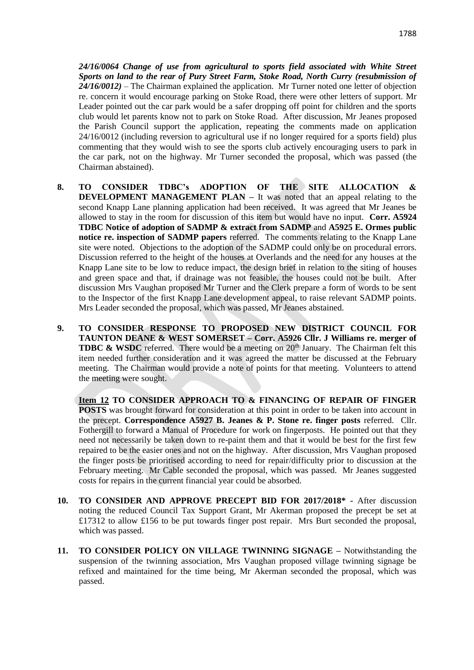*24/16/0064 Change of use from agricultural to sports field associated with White Street Sports on land to the rear of Pury Street Farm, Stoke Road, North Curry (resubmission of 24/16/0012)* – The Chairman explained the application. Mr Turner noted one letter of objection re. concern it would encourage parking on Stoke Road, there were other letters of support. Mr Leader pointed out the car park would be a safer dropping off point for children and the sports club would let parents know not to park on Stoke Road. After discussion, Mr Jeanes proposed the Parish Council support the application, repeating the comments made on application 24/16/0012 (including reversion to agricultural use if no longer required for a sports field) plus commenting that they would wish to see the sports club actively encouraging users to park in the car park, not on the highway. Mr Turner seconded the proposal, which was passed (the Chairman abstained).

- **8. TO CONSIDER TDBC's ADOPTION OF THE SITE ALLOCATION & DEVELOPMENT MANAGEMENT PLAN –** It was noted that an appeal relating to the second Knapp Lane planning application had been received. It was agreed that Mr Jeanes be allowed to stay in the room for discussion of this item but would have no input. **Corr. A5924 TDBC Notice of adoption of SADMP & extract from SADMP** and **A5925 E. Ormes public notice re. inspection of SADMP papers** referred. The comments relating to the Knapp Lane site were noted. Objections to the adoption of the SADMP could only be on procedural errors. Discussion referred to the height of the houses at Overlands and the need for any houses at the Knapp Lane site to be low to reduce impact, the design brief in relation to the siting of houses and green space and that, if drainage was not feasible, the houses could not be built. After discussion Mrs Vaughan proposed Mr Turner and the Clerk prepare a form of words to be sent to the Inspector of the first Knapp Lane development appeal, to raise relevant SADMP points. Mrs Leader seconded the proposal, which was passed, Mr Jeanes abstained.
- **9. TO CONSIDER RESPONSE TO PROPOSED NEW DISTRICT COUNCIL FOR TAUNTON DEANE & WEST SOMERSET – Corr. A5926 Cllr. J Williams re. merger of TDBC & WSDC** referred. There would be a meeting on 20<sup>th</sup> January. The Chairman felt this item needed further consideration and it was agreed the matter be discussed at the February meeting. The Chairman would provide a note of points for that meeting. Volunteers to attend the meeting were sought.

**Item 12 TO CONSIDER APPROACH TO & FINANCING OF REPAIR OF FINGER POSTS** was brought forward for consideration at this point in order to be taken into account in the precept. **Correspondence A5927 B. Jeanes & P. Stone re. finger posts** referred.Cllr. Fothergill to forward a Manual of Procedure for work on fingerposts. He pointed out that they need not necessarily be taken down to re-paint them and that it would be best for the first few repaired to be the easier ones and not on the highway. After discussion, Mrs Vaughan proposed the finger posts be prioritised according to need for repair/difficulty prior to discussion at the February meeting. Mr Cable seconded the proposal, which was passed. Mr Jeanes suggested costs for repairs in the current financial year could be absorbed.

- **10. TO CONSIDER AND APPROVE PRECEPT BID FOR 2017/2018\* -** After discussion noting the reduced Council Tax Support Grant, Mr Akerman proposed the precept be set at £17312 to allow £156 to be put towards finger post repair. Mrs Burt seconded the proposal, which was passed.
- **11. TO CONSIDER POLICY ON VILLAGE TWINNING SIGNAGE –** Notwithstanding the suspension of the twinning association, Mrs Vaughan proposed village twinning signage be refixed and maintained for the time being, Mr Akerman seconded the proposal, which was passed.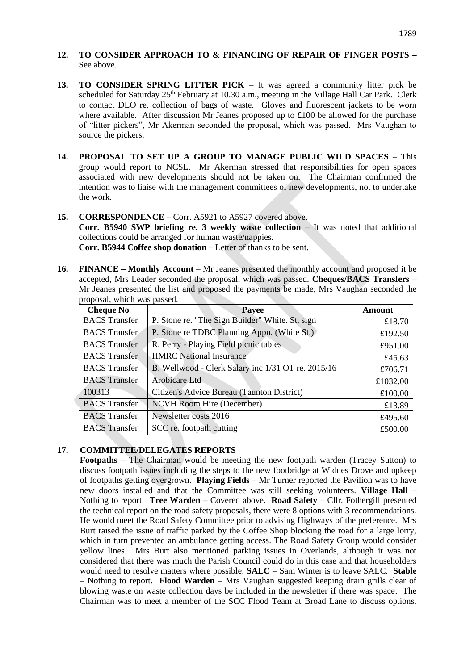- **12. TO CONSIDER APPROACH TO & FINANCING OF REPAIR OF FINGER POSTS –** See above.
- **13. TO CONSIDER SPRING LITTER PICK** It was agreed a community litter pick be scheduled for Saturday 25<sup>th</sup> February at 10.30 a.m., meeting in the Village Hall Car Park. Clerk to contact DLO re. collection of bags of waste. Gloves and fluorescent jackets to be worn where available. After discussion Mr Jeanes proposed up to £100 be allowed for the purchase of "litter pickers", Mr Akerman seconded the proposal, which was passed. Mrs Vaughan to source the pickers.
- **14. PROPOSAL TO SET UP A GROUP TO MANAGE PUBLIC WILD SPACES**  This group would report to NCSL. Mr Akerman stressed that responsibilities for open spaces associated with new developments should not be taken on. The Chairman confirmed the intention was to liaise with the management committees of new developments, not to undertake the work.

# **15. CORRESPONDENCE –** Corr. A5921 to A5927 covered above.

**Corr. B5940 SWP briefing re. 3 weekly waste collection –** It was noted that additional collections could be arranged for human waste/nappies.

**Corr. B5944 Coffee shop donation** – Letter of thanks to be sent.

**16. FINANCE – Monthly Account** – Mr Jeanes presented the monthly account and proposed it be accepted, Mrs Leader seconded the proposal, which was passed. **Cheques/BACS Transfers** – Mr Jeanes presented the list and proposed the payments be made, Mrs Vaughan seconded the proposal, which was passed.

| <b>Cheque No</b>     | Payee                                              | Amount   |
|----------------------|----------------------------------------------------|----------|
| <b>BACS</b> Transfer | P. Stone re. "The Sign Builder" White. St. sign    | £18.70   |
| <b>BACS</b> Transfer | P. Stone re TDBC Planning Appn. (White St.)        | £192.50  |
| <b>BACS</b> Transfer | R. Perry - Playing Field picnic tables             | £951.00  |
| <b>BACS</b> Transfer | <b>HMRC</b> National Insurance                     | £45.63   |
| <b>BACS</b> Transfer | B. Wellwood - Clerk Salary inc 1/31 OT re. 2015/16 | £706.71  |
| <b>BACS</b> Transfer | Arobicare Ltd                                      | £1032.00 |
| 100313               | Citizen's Advice Bureau (Taunton District)         | £100.00  |
| <b>BACS</b> Transfer | <b>NCVH</b> Room Hire (December)                   | £13.89   |
| <b>BACS</b> Transfer | Newsletter costs 2016                              | £495.60  |
| <b>BACS</b> Transfer | SCC re. footpath cutting                           | £500.00  |

# **17. COMMITTEE/DELEGATES REPORTS**

**Footpaths** – The Chairman would be meeting the new footpath warden (Tracey Sutton) to discuss footpath issues including the steps to the new footbridge at Widnes Drove and upkeep of footpaths getting overgrown. **Playing Fields** – Mr Turner reported the Pavilion was to have new doors installed and that the Committee was still seeking volunteers. **Village Hall** – Nothing to report. **Tree Warden –** Covered above. **Road Safety** – Cllr. Fothergill presented the technical report on the road safety proposals, there were 8 options with 3 recommendations. He would meet the Road Safety Committee prior to advising Highways of the preference. Mrs Burt raised the issue of traffic parked by the Coffee Shop blocking the road for a large lorry, which in turn prevented an ambulance getting access. The Road Safety Group would consider yellow lines. Mrs Burt also mentioned parking issues in Overlands, although it was not considered that there was much the Parish Council could do in this case and that householders would need to resolve matters where possible. **SALC** – Sam Winter is to leave SALC. **Stable** – Nothing to report. **Flood Warden** – Mrs Vaughan suggested keeping drain grills clear of blowing waste on waste collection days be included in the newsletter if there was space. The Chairman was to meet a member of the SCC Flood Team at Broad Lane to discuss options.